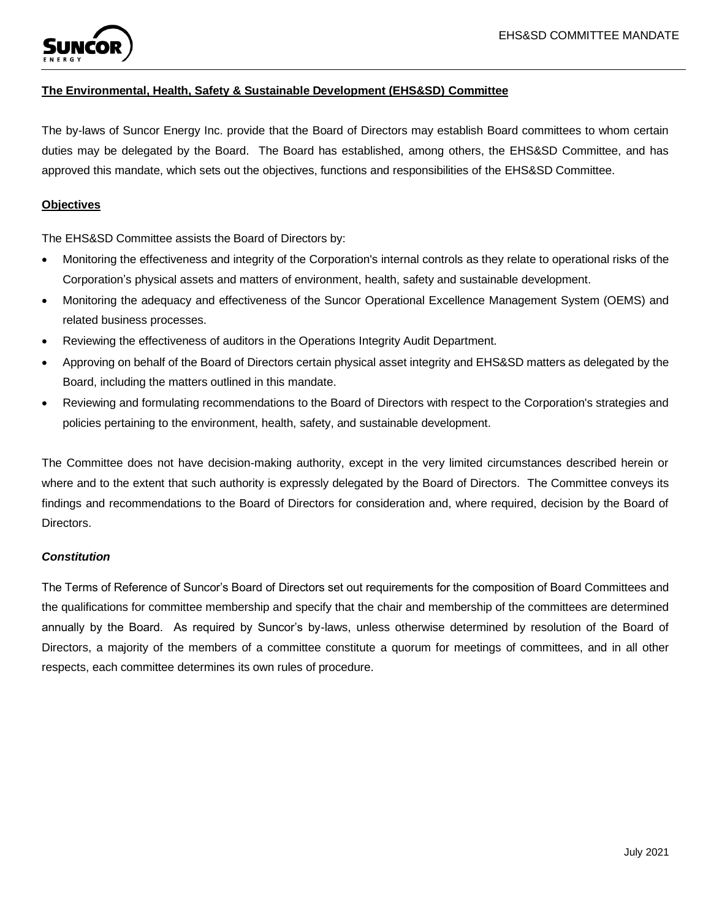

# **The Environmental, Health, Safety & Sustainable Development (EHS&SD) Committee**

The by-laws of Suncor Energy Inc. provide that the Board of Directors may establish Board committees to whom certain duties may be delegated by the Board. The Board has established, among others, the EHS&SD Committee, and has approved this mandate, which sets out the objectives, functions and responsibilities of the EHS&SD Committee.

## **Objectives**

The EHS&SD Committee assists the Board of Directors by:

- Monitoring the effectiveness and integrity of the Corporation's internal controls as they relate to operational risks of the Corporation's physical assets and matters of environment, health, safety and sustainable development.
- Monitoring the adequacy and effectiveness of the Suncor Operational Excellence Management System (OEMS) and related business processes.
- Reviewing the effectiveness of auditors in the Operations Integrity Audit Department.
- Approving on behalf of the Board of Directors certain physical asset integrity and EHS&SD matters as delegated by the Board, including the matters outlined in this mandate.
- Reviewing and formulating recommendations to the Board of Directors with respect to the Corporation's strategies and policies pertaining to the environment, health, safety, and sustainable development.

The Committee does not have decision-making authority, except in the very limited circumstances described herein or where and to the extent that such authority is expressly delegated by the Board of Directors. The Committee conveys its findings and recommendations to the Board of Directors for consideration and, where required, decision by the Board of Directors.

## *Constitution*

The Terms of Reference of Suncor's Board of Directors set out requirements for the composition of Board Committees and the qualifications for committee membership and specify that the chair and membership of the committees are determined annually by the Board. As required by Suncor's by-laws, unless otherwise determined by resolution of the Board of Directors, a majority of the members of a committee constitute a quorum for meetings of committees, and in all other respects, each committee determines its own rules of procedure.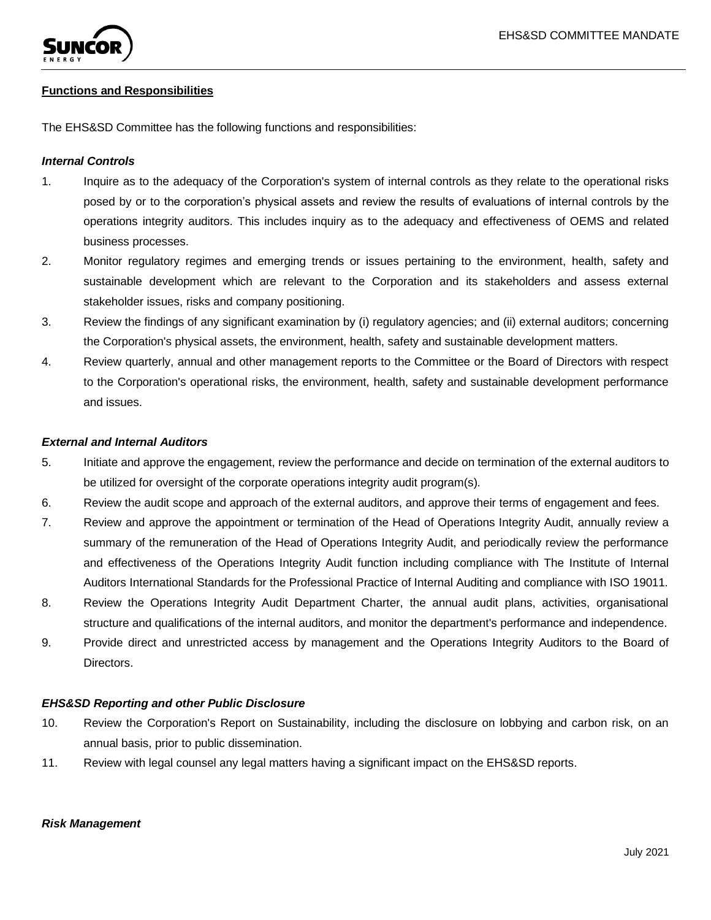

### **Functions and Responsibilities**

The EHS&SD Committee has the following functions and responsibilities:

### *Internal Controls*

- 1. Inquire as to the adequacy of the Corporation's system of internal controls as they relate to the operational risks posed by or to the corporation's physical assets and review the results of evaluations of internal controls by the operations integrity auditors. This includes inquiry as to the adequacy and effectiveness of OEMS and related business processes.
- 2. Monitor regulatory regimes and emerging trends or issues pertaining to the environment, health, safety and sustainable development which are relevant to the Corporation and its stakeholders and assess external stakeholder issues, risks and company positioning.
- 3. Review the findings of any significant examination by (i) regulatory agencies; and (ii) external auditors; concerning the Corporation's physical assets, the environment, health, safety and sustainable development matters.
- 4. Review quarterly, annual and other management reports to the Committee or the Board of Directors with respect to the Corporation's operational risks, the environment, health, safety and sustainable development performance and issues.

#### *External and Internal Auditors*

- 5. Initiate and approve the engagement, review the performance and decide on termination of the external auditors to be utilized for oversight of the corporate operations integrity audit program(s).
- 6. Review the audit scope and approach of the external auditors, and approve their terms of engagement and fees.
- 7. Review and approve the appointment or termination of the Head of Operations Integrity Audit, annually review a summary of the remuneration of the Head of Operations Integrity Audit, and periodically review the performance and effectiveness of the Operations Integrity Audit function including compliance with The Institute of Internal Auditors International Standards for the Professional Practice of Internal Auditing and compliance with ISO 19011.
- 8. Review the Operations Integrity Audit Department Charter, the annual audit plans, activities, organisational structure and qualifications of the internal auditors, and monitor the department's performance and independence.
- 9. Provide direct and unrestricted access by management and the Operations Integrity Auditors to the Board of Directors.

#### *EHS&SD Reporting and other Public Disclosure*

- 10. Review the Corporation's Report on Sustainability, including the disclosure on lobbying and carbon risk, on an annual basis, prior to public dissemination.
- 11. Review with legal counsel any legal matters having a significant impact on the EHS&SD reports.

#### *Risk Management*